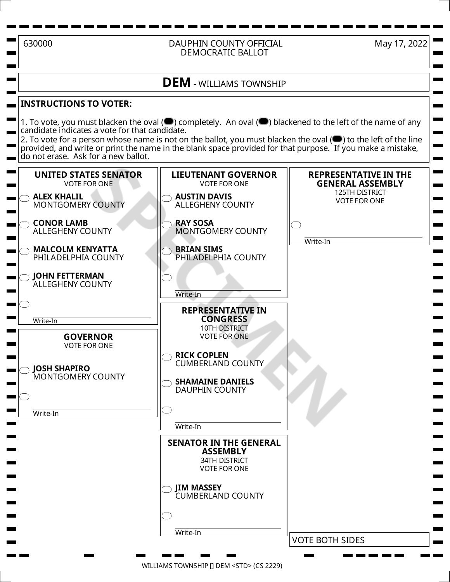## 630000 DAUPHIN COUNTY OFFICIAL DEMOCRATIC BALLOT

May 17, 2022

## **DEM** - WILLIAMS TOWNSHIP

## **INSTRUCTIONS TO VOTER:**

1. To vote, you must blacken the oval ( $\blacksquare$ ) completely. An oval ( $\blacksquare$ ) blackened to the left of the name of any candidate indicates a vote for that candidate.

2. To vote for a person whose name is not on the ballot, you must blacken the oval  $(\blacksquare)$  to the left of the line provided, and write or print the name in the blank space provided for that purpose. If you make a mistake, do not erase. Ask for a new ballot.